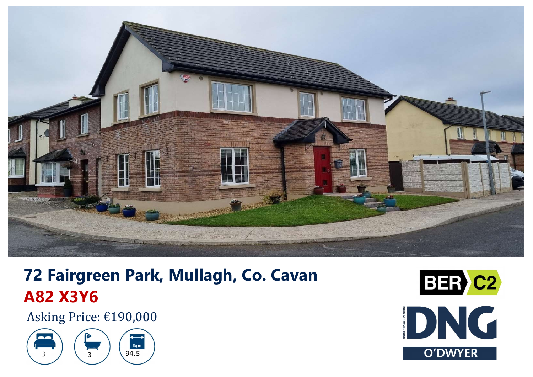

# **72 Fairgreen Park, Mullagh, Co. Cavan A82 X3Y6**

Asking Price: €190,000



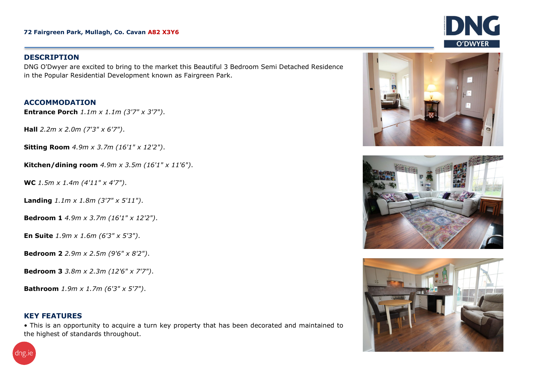#### **DESCRIPTION**

DNG O'Dwyer are excited to bring to the market this Beautiful 3 Bedroom Semi Detached Residence in the Popular Residential Development known as Fairgreen Park.

### **ACCOMMODATION**

**Entrance Porch** *1.1m x 1.1m (3'7" x 3'7")*.

**Hall** *2.2m x 2.0m (7'3" x 6'7")*.

**Sitting Room** *4.9m <sup>x</sup> 3.7m (16'1" <sup>x</sup> 12'2")*.

**Kitchen/dining room** *4.9m x 3.5m (16'1" x 11'6")*.

**WC** *1.5m x 1.4m (4'11" x 4'7")*.

**Landing** *1.1m x 1.8m (3'7" <sup>x</sup> 5'11")*.

**Bedroom 1** *4.9m x 3.7m (16'1" x 12'2")*.

**En Suite** *1.9m <sup>x</sup> 1.6m (6'3" x 5'3")*.

**Bedroom 2** *2.9m x 2.5m (9'6" x 8'2")*.

**Bedroom 3** *3.8m x 2.3m (12'6" x 7'7")*.

**Bathroom** *1.9m x 1.7m (6'3" x 5'7")*.

## **KEY FEATURES**

• This is an opportunity to acquire <sup>a</sup> turn key property that has been decorated and maintained to the highest of standards throughout.